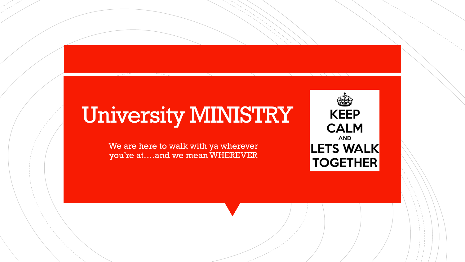# University MINISTRY

We are here to walk with ya wherever you're at….and we mean WHEREVER

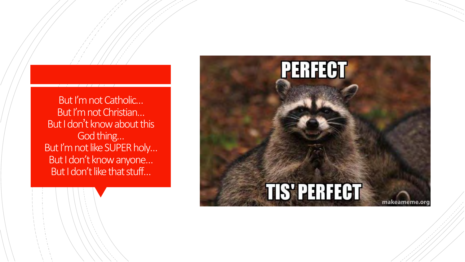But I'm not Catholic… But I'm not Christian… But I don't know about this God thing… But I'm not like SUPER holy… But I don't know anyone… But I don't like that stuff…

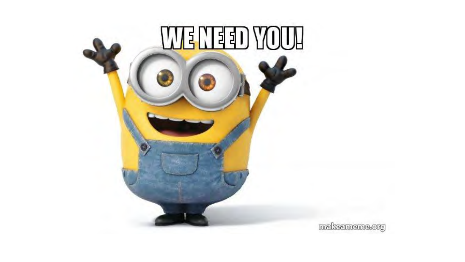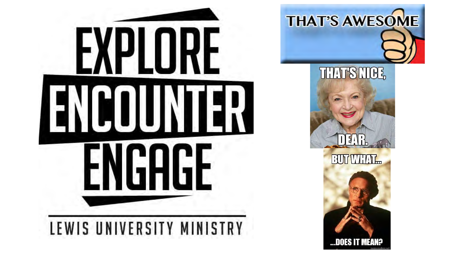

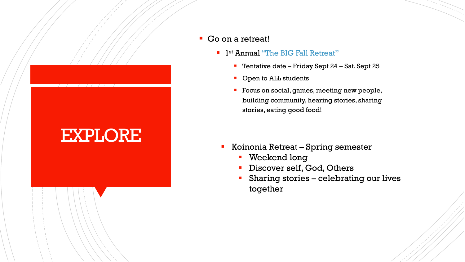#### ▪ Go on a retreat!

EXPLORE

- **I**st Annual "The BIG Fall Retreat"
	- Tentative date Friday Sept 24 Sat. Sept 25
	- Open to ALL students
	- **Focus on social, games, meeting new people,** building community, hearing stories, sharing stories, eating good food!

- Koinonia Retreat Spring semester
	- Weekend long
	- **·** Discover self, God, Others
	- **EXECUTE:** Sharing stories celebrating our lives together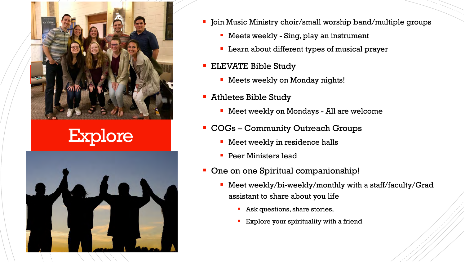

Explore



- **•** Join Music Ministry choir/small worship band/multiple groups
	- Meets weekly Sing, play an instrument
	- Learn about different types of musical prayer
- **ELEVATE Bible Study** 
	- **EXECT:** Meets weekly on Monday nights!
- Athletes Bible Study
	- Meet weekly on Mondays All are welcome
- COGs Community Outreach Groups
	- Meet weekly in residence halls
	- Peer Ministers lead
- **One on one Spiritual companionship!** 
	- Meet weekly/bi-weekly/monthly with a staff/faculty/Grad assistant to share about you life
		- Ask questions, share stories,
		- Explore your spirituality with a friend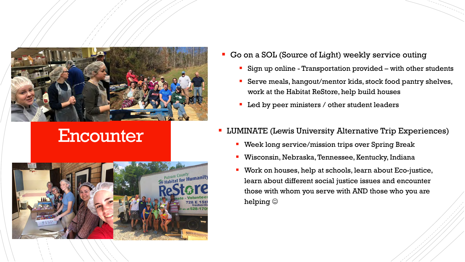

### **Encounter**



- **Go on a SOL (Source of Light) weekly service outing** 
	- Sign up online Transportation provided with other students
	- Serve meals, hangout/mentor kids, stock food pantry shelves, work at the Habitat ReStore, help build houses
	- Led by peer ministers / other student leaders
- **LUMINATE (Lewis University Alternative Trip Experiences)** 
	- Week long service/mission trips over Spring Break
	- Wisconsin, Nebraska, Tennessee, Kentucky, Indiana
	- Work on houses, help at schools, learn about Eco-justice, learn about different social justice issues and encounter those with whom you serve with AND those who you are helping  $\odot$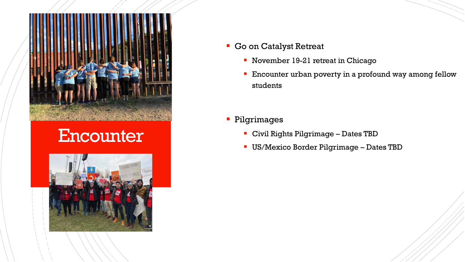

#### **Encounter**



- Go on Catalyst Retreat
	- November 19-21 retreat in Chicago
	- **Encounter urban poverty in a profound way among fellow** students
- **· Pilgrimages** 
	- Civil Rights Pilgrimage Dates TBD
	- **· US/Mexico Border Pilgrimage Dates TBD**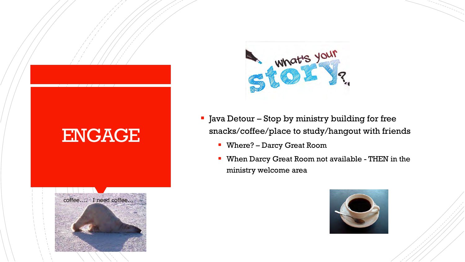

- **I** Java Detour Stop by ministry building for free snacks/coffee/place to study/hangout with friends
	- Where? Darcy Great Room
	- **When Darcy Great Room not available THEN in the** ministry welcome area





ENGAGE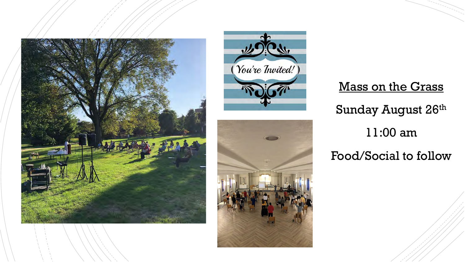



## Mass on the Grass Sunday August 26th 11:00 am Food/Social to follow